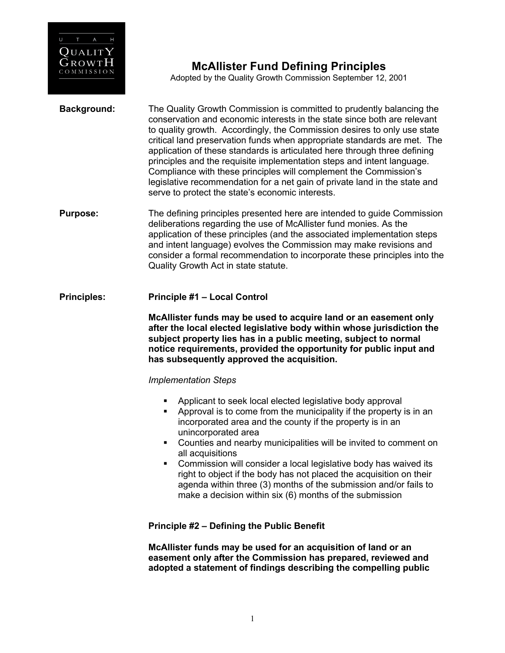

# **McAllister Fund Defining Principles**

Adopted by the Quality Growth Commission September 12, 2001

- **Background:** The Quality Growth Commission is committed to prudently balancing the conservation and economic interests in the state since both are relevant to quality growth. Accordingly, the Commission desires to only use state critical land preservation funds when appropriate standards are met. The application of these standards is articulated here through three defining principles and the requisite implementation steps and intent language. Compliance with these principles will complement the Commission's legislative recommendation for a net gain of private land in the state and serve to protect the state's economic interests.
- **Purpose:** The defining principles presented here are intended to guide Commission deliberations regarding the use of McAllister fund monies. As the application of these principles (and the associated implementation steps and intent language) evolves the Commission may make revisions and consider a formal recommendation to incorporate these principles into the Quality Growth Act in state statute.

### **Principles: Principle #1 – Local Control**

**McAllister funds may be used to acquire land or an easement only after the local elected legislative body within whose jurisdiction the subject property lies has in a public meeting, subject to normal notice requirements, provided the opportunity for public input and has subsequently approved the acquisition.**

### *Implementation Steps*

- Applicant to seek local elected legislative body approval
- § Approval is to come from the municipality if the property is in an incorporated area and the county if the property is in an unincorporated area
- § Counties and nearby municipalities will be invited to comment on all acquisitions
- § Commission will consider a local legislative body has waived its right to object if the body has not placed the acquisition on their agenda within three (3) months of the submission and/or fails to make a decision within six (6) months of the submission

### **Principle #2 – Defining the Public Benefit**

**McAllister funds may be used for an acquisition of land or an easement only after the Commission has prepared, reviewed and adopted a statement of findings describing the compelling public**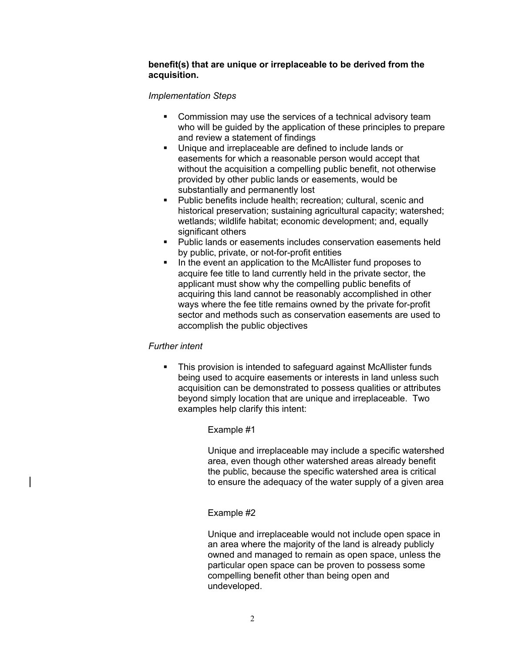### **benefit(s) that are unique or irreplaceable to be derived from the acquisition.**

### *Implementation Steps*

- Commission may use the services of a technical advisory team who will be guided by the application of these principles to prepare and review a statement of findings
- Unique and irreplaceable are defined to include lands or easements for which a reasonable person would accept that without the acquisition a compelling public benefit, not otherwise provided by other public lands or easements, would be substantially and permanently lost
- § Public benefits include health; recreation; cultural, scenic and historical preservation; sustaining agricultural capacity; watershed; wetlands; wildlife habitat; economic development; and, equally significant others
- Public lands or easements includes conservation easements held by public, private, or not-for-profit entities
- In the event an application to the McAllister fund proposes to acquire fee title to land currently held in the private sector, the applicant must show why the compelling public benefits of acquiring this land cannot be reasonably accomplished in other ways where the fee title remains owned by the private for-profit sector and methods such as conservation easements are used to accomplish the public objectives

# *Further intent*

• This provision is intended to safeguard against McAllister funds being used to acquire easements or interests in land unless such acquisition can be demonstrated to possess qualities or attributes beyond simply location that are unique and irreplaceable. Two examples help clarify this intent:

# Example #1

Unique and irreplaceable may include a specific watershed area, even though other watershed areas already benefit the public, because the specific watershed area is critical to ensure the adequacy of the water supply of a given area

# Example #2

Unique and irreplaceable would not include open space in an area where the majority of the land is already publicly owned and managed to remain as open space, unless the particular open space can be proven to possess some compelling benefit other than being open and undeveloped.